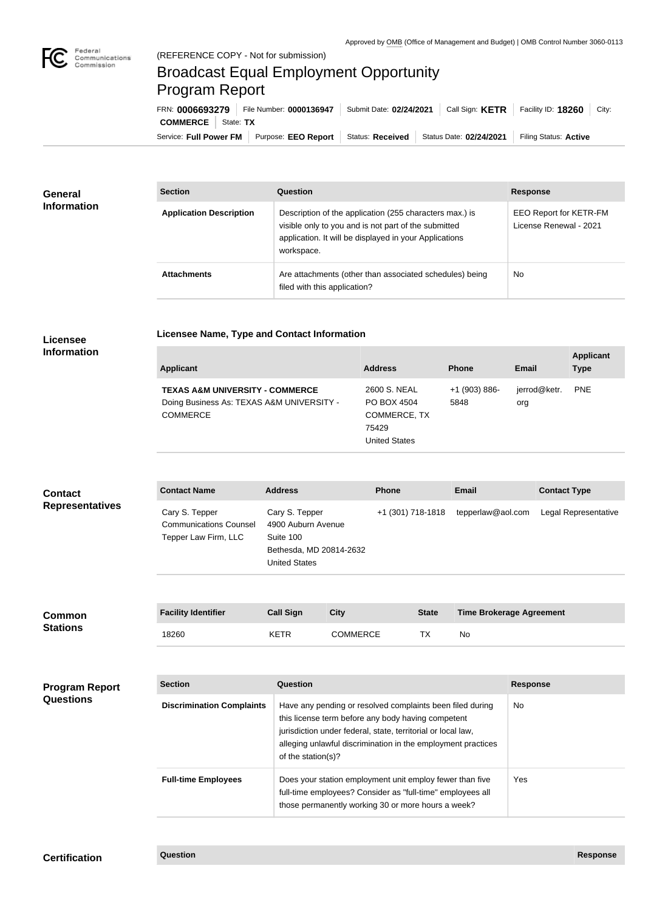

## Broadcast Equal Employment Opportunity Program Report

**Licensee Name, Type and Contact Information**

Service: Full Power FM Purpose: EEO Report | Status: Received | Status Date: 02/24/2021 | Filing Status: Active **COMMERCE** | State: TX FRN: **0006693279** File Number: **0000136947** Submit Date: **02/24/2021** Call Sign: **KETR** Facility ID: **18260** City:

| <b>General</b><br><b>Information</b> | <b>Section</b>                 | <b>Question</b>                                                                                                                                                                         | <b>Response</b>                                         |  |
|--------------------------------------|--------------------------------|-----------------------------------------------------------------------------------------------------------------------------------------------------------------------------------------|---------------------------------------------------------|--|
|                                      | <b>Application Description</b> | Description of the application (255 characters max.) is<br>visible only to you and is not part of the submitted<br>application. It will be displayed in your Applications<br>workspace. | <b>EEO Report for KETR-FM</b><br>License Renewal - 2021 |  |
|                                      | <b>Attachments</b>             | Are attachments (other than associated schedules) being<br>filed with this application?                                                                                                 | No                                                      |  |

## **Licensee Information**

|                         |                     | <b>Type</b> |
|-------------------------|---------------------|-------------|
| $+1$ (903) 886-<br>5848 | jerrod@ketr.<br>org | <b>PNE</b>  |
|                         |                     |             |

United States

| <b>Contact</b>         | <b>Contact Name</b>                                                     | <b>Address</b>                                                                                       | <b>Phone</b>      | <b>Email</b>      | <b>Contact Type</b>  |
|------------------------|-------------------------------------------------------------------------|------------------------------------------------------------------------------------------------------|-------------------|-------------------|----------------------|
| <b>Representatives</b> | Cary S. Tepper<br><b>Communications Counsel</b><br>Tepper Law Firm, LLC | Cary S. Tepper<br>4900 Auburn Avenue<br>Suite 100<br>Bethesda, MD 20814-2632<br><b>United States</b> | +1 (301) 718-1818 | tepperlaw@aol.com | Legal Representative |

| <b>Common</b>         | <b>Facility Identifier</b>       | <b>Call Sign</b> | City                                                                                                                                                                            | <b>State</b> |           | <b>Time Brokerage Agreement</b> |
|-----------------------|----------------------------------|------------------|---------------------------------------------------------------------------------------------------------------------------------------------------------------------------------|--------------|-----------|---------------------------------|
| <b>Stations</b>       | 18260                            | <b>KETR</b>      | <b>COMMERCE</b>                                                                                                                                                                 | ТX           | <b>No</b> |                                 |
|                       |                                  |                  |                                                                                                                                                                                 |              |           |                                 |
| <b>Program Report</b> | <b>Section</b>                   | Question         |                                                                                                                                                                                 |              |           | <b>Response</b>                 |
| <b>Questions</b>      | <b>Discrimination Complaints</b> |                  | Have any pending or resolved complaints been filed during<br>this license term before any body having competent<br>jurisdiction under federal, state, territorial or local law, |              |           | No.                             |

|                            | this license term before any body having competent<br>jurisdiction under federal, state, territorial or local law,<br>alleging unlawful discrimination in the employment practices<br>of the station(s)? |     |
|----------------------------|----------------------------------------------------------------------------------------------------------------------------------------------------------------------------------------------------------|-----|
| <b>Full-time Employees</b> | Does your station employment unit employ fewer than five<br>full-time employees? Consider as "full-time" employees all<br>those permanently working 30 or more hours a week?                             | Yes |